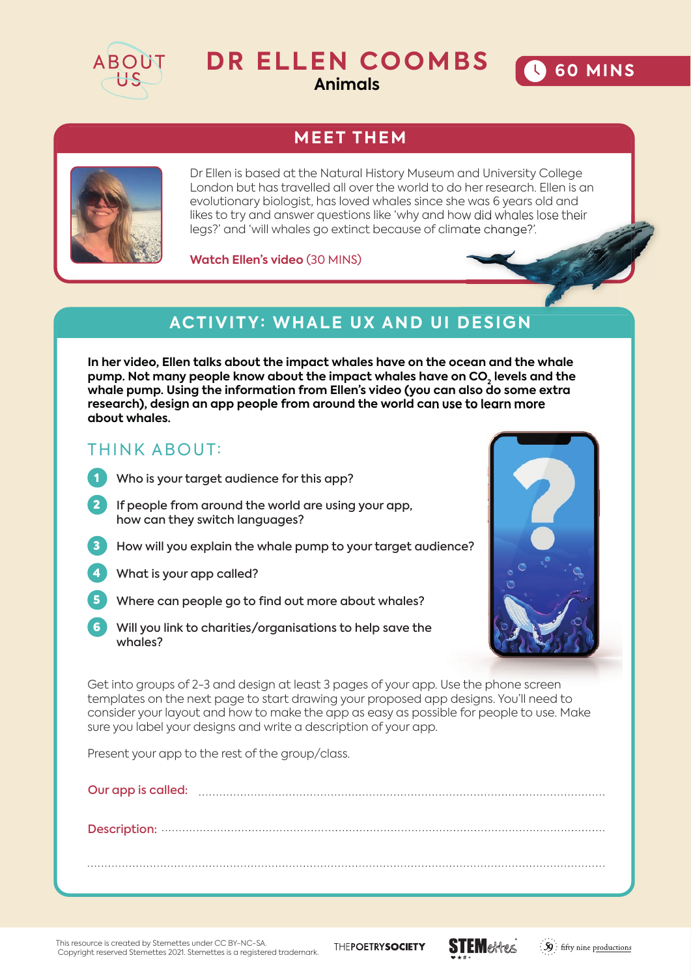

# **DR ELLEN COOMBS**

**Animals**

## **MEET THEM**



Dr Ellen is based at the Natural History Museum and University College London but has travelled all over the world to do her research. Ellen is an evolutionary biologist, has loved whales since she was 6 years old and likes to try and answer questions like 'why and how did whales lose their legs?' and 'will whales go extinct because of climate change?'.

**Watch Ellen's video** (30 MINS)

### **ACTIVITY: WHALE UX AND UI DESIGN**

**In her video, Ellen talks about the impact whales have on the ocean and the whale**  pump. Not many people know about the impact whales have on CO<sub>2</sub> levels and the **whale pump. Using the information from Ellen's video (you can also do some extra research), design an app people from around the world can use to learn more about whales.** 

#### THINK ABOUT:

- 1 Who is your target audience for this app?
- 2 If people from around the world are using your app, how can they switch languages?
- **3** How will you explain the whale pump to your target audience?
- 4 What is your app called?
- Where can people go to find out more about whales?
- 6 Will you link to charities/organisations to help save the whales?



**60 MINS** 

Get into groups of 2-3 and design at least 3 pages of your app. Use the phone screen templates on the next page to start drawing your proposed app designs. You'll need to consider your layout and how to make the app as easy as possible for people to use. Make sure you label your designs and write a description of your app.

Present your app to the rest of the group/class.

This resource is created by Stemettes under CC BY-NC-SA. Copyright reserved Stemettes 2021. Stemettes is a registered trademark.

THEPOETRYSOCIETY